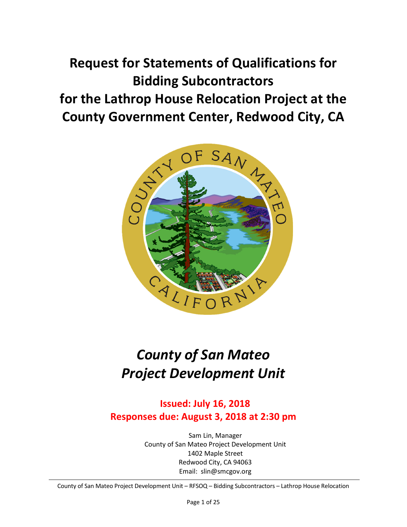# **Request for Statements of Qualifications for Bidding Subcontractors for the Lathrop House Relocation Project at the County Government Center, Redwood City, CA**



# *County of San Mateo Project Development Unit*

**Issued: July 16, 2018 Responses due: August 3, 2018 at 2:30 pm**

> Sam Lin, Manager County of San Mateo Project Development Unit 1402 Maple Street Redwood City, CA 94063 Email: slin@smcgov.org

County of San Mateo Project Development Unit – RFSOQ – Bidding Subcontractors – Lathrop House Relocation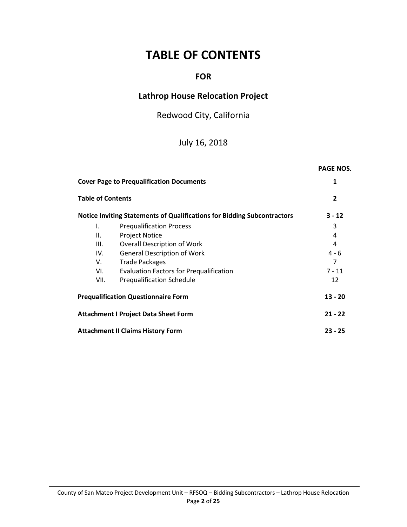# **TABLE OF CONTENTS**

# **FOR**

# **Lathrop House Relocation Project**

Redwood City, California

# July 16, 2018

|                                                         |                                                                                | <b>PAGE NOS.</b> |
|---------------------------------------------------------|--------------------------------------------------------------------------------|------------------|
| <b>Cover Page to Prequalification Documents</b>         | 1                                                                              |                  |
| <b>Table of Contents</b>                                | $\overline{2}$                                                                 |                  |
|                                                         | <b>Notice Inviting Statements of Qualifications for Bidding Subcontractors</b> | $3 - 12$         |
| I.                                                      | <b>Prequalification Process</b>                                                | 3                |
| Ш.                                                      | <b>Project Notice</b>                                                          | 4                |
| III.                                                    | <b>Overall Description of Work</b>                                             | 4                |
| IV.                                                     | <b>General Description of Work</b>                                             | $4 - 6$          |
| V.                                                      | <b>Trade Packages</b>                                                          | 7                |
| VI.                                                     | <b>Evaluation Factors for Prequalification</b>                                 | $7 - 11$         |
| VII.                                                    | <b>Prequalification Schedule</b>                                               | 12               |
| <b>Prequalification Questionnaire Form</b><br>$13 - 20$ |                                                                                |                  |
| <b>Attachment I Project Data Sheet Form</b>             |                                                                                |                  |
| <b>Attachment II Claims History Form</b>                | $23 - 25$                                                                      |                  |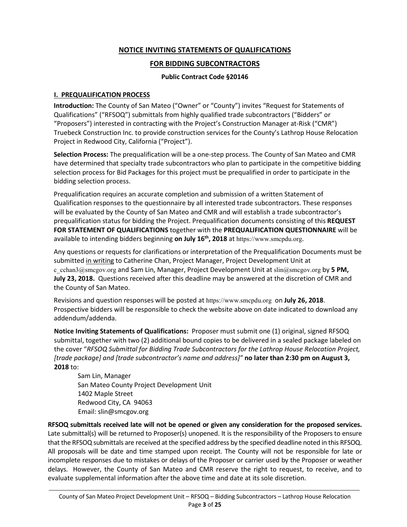## **NOTICE INVITING STATEMENTS OF QUALIFICATIONS**

#### **FOR BIDDING SUBCONTRACTORS**

#### **Public Contract Code §20146**

#### **I. PREQUALIFICATION PROCESS**

**Introduction:** The County of San Mateo ("Owner" or "County") invites "Request for Statements of Qualifications" ("RFSOQ") submittals from highly qualified trade subcontractors ("Bidders" or "Proposers") interested in contracting with the Project's Construction Manager at-Risk ("CMR") Truebeck Construction Inc. to provide construction services for the County's Lathrop House Relocation Project in Redwood City, California ("Project").

**Selection Process:** The prequalification will be a one-step process. The County of San Mateo and CMR have determined that specialty trade subcontractors who plan to participate in the competitive bidding selection process for Bid Packages for this project must be prequalified in order to participate in the bidding selection process.

Prequalification requires an accurate completion and submission of a written Statement of Qualification responses to the questionnaire by all interested trade subcontractors. These responses will be evaluated by the County of San Mateo and CMR and will establish a trade subcontractor's prequalification status for bidding the Project. Prequalification documents consisting of this **REQUEST FOR STATEMENT OF QUALIFICATIONS** together with the **PREQUALIFICATION QUESTIONNAIRE** will be available to intending bidders beginning **on July 16th, 2018** at https://www.smcpdu.org.

Any questions or requests for clarifications or interpretation of the Prequalification Documents must be submitted in writing to Catherine Chan, Project Manager, Project Development Unit at c cchan3@smcgov.org and Sam Lin, Manager, Project Development Unit at slin@smcgov.org by 5 PM, **July 23, 2018.** Questions received after this deadline may be answered at the discretion of CMR and the County of San Mateo.

Revisions and question responses will be posted at https://www.smcpdu.org on **July 26, 2018**. Prospective bidders will be responsible to check the website above on date indicated to download any addendum/addenda.

**Notice Inviting Statements of Qualifications:** Proposer must submit one (1) original, signed RFSOQ submittal, together with two (2) additional bound copies to be delivered in a sealed package labeled on the cover "*RFSOQ Submittal for Bidding Trade Subcontractors for the Lathrop House Relocation Project, [trade package] and [trade subcontractor's name and address]"* **no later than 2:30 pm on August 3, 2018** to:

Sam Lin, Manager San Mateo County Project Development Unit 1402 Maple Street Redwood City, CA 94063 Email: slin@smcgov.org

**RFSOQ submittals received late will not be opened or given any consideration for the proposed services.**  Late submittal(s) will be returned to Proposer(s) unopened. It is the responsibility of the Proposers to ensure that the RFSOQ submittals are received at the specified address by the specified deadline noted in this RFSOQ. All proposals will be date and time stamped upon receipt. The County will not be responsible for late or incomplete responses due to mistakes or delays of the Proposer or carrier used by the Proposer or weather delays. However, the County of San Mateo and CMR reserve the right to request, to receive, and to evaluate supplemental information after the above time and date at its sole discretion.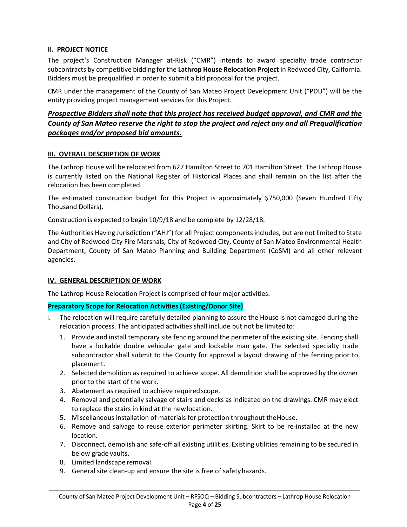#### **II. PROJECT NOTICE**

The project's Construction Manager at-Risk ("CMR") intends to award specialty trade contractor subcontracts by competitive bidding for the **Lathrop House Relocation Project** in Redwood City, California. Bidders must be prequalified in order to submit a bid proposal for the project.

CMR under the management of the County of San Mateo Project Development Unit ("PDU") will be the entity providing project management services for this Project.

#### *Prospective Bidders shall note that this project has received budget approval, and CMR and the County of San Mateo reserve the right to stop the project and reject any and all Prequalification packages and/or proposed bid amounts.*

#### **III. OVERALL DESCRIPTION OF WORK**

The Lathrop House will be relocated from 627 Hamilton Street to 701 Hamilton Street. The Lathrop House is currently listed on the National Register of Historical Places and shall remain on the list after the relocation has been completed.

The estimated construction budget for this Project is approximately \$750,000 (Seven Hundred Fifty Thousand Dollars).

Construction is expected to begin 10/9/18 and be complete by 12/28/18.

The Authorities Having Jurisdiction ("AHJ") for all Project components includes, but are not limited to State and City of Redwood City Fire Marshals, City of Redwood City, County of San Mateo Environmental Health Department, County of San Mateo Planning and Building Department (CoSM) and all other relevant agencies.

#### **IV. GENERAL DESCRIPTION OF WORK**

The Lathrop House Relocation Project is comprised of four major activities.

#### **Preparatory Scope for Relocation Activities (Existing/Donor Site)**

- i. The relocation will require carefully detailed planning to assure the House is not damaged during the relocation process. The anticipated activities shall include but not be limited to:
	- 1. Provide and install temporary site fencing around the perimeter of the existing site. Fencing shall have a lockable double vehicular gate and lockable man gate. The selected specialty trade subcontractor shall submit to the County for approval a layout drawing of the fencing prior to placement.
	- 2. Selected demolition as required to achieve scope. All demolition shall be approved by the owner prior to the start of the work.
	- 3. Abatement as required to achieve required scope.
	- 4. Removal and potentially salvage of stairs and decks as indicated on the drawings. CMR may elect to replace the stairs in kind at the new location.
	- 5. Miscellaneous installation of materials for protection throughout the House.
	- 6. Remove and salvage to reuse exterior perimeter skirting. Skirt to be re-installed at the new location.
	- 7. Disconnect, demolish and safe-off all existing utilities. Existing utilities remaining to be secured in below grade vaults.
	- 8. Limited landscape removal.
	- 9. General site clean-up and ensure the site is free of safety hazards.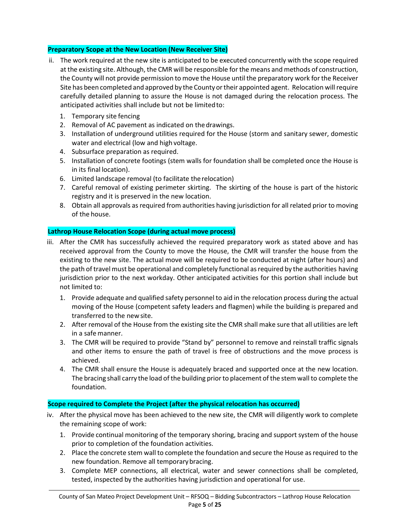#### **Preparatory Scope at the New Location (New Receiver Site)**

- ii. The work required at the new site is anticipated to be executed concurrently with the scope required at the existing site. Although, the CMR will be responsible for the means and methods of construction, the County will not provide permission to move the House until the preparatory work for the Receiver Site has been completed and approved by the County or their appointed agent. Relocation will require carefully detailed planning to assure the House is not damaged during the relocation process. The anticipated activities shall include but not be limited to:
	- 1. Temporary site fencing
	- 2. Removal of AC pavement as indicated on the drawings.
	- 3. Installation of underground utilities required for the House (storm and sanitary sewer, domestic water and electrical (low and high voltage.
	- 4. Subsurface preparation as required.
	- 5. Installation of concrete footings (stem walls for foundation shall be completed once the House is in its final location).
	- 6. Limited landscape removal (to facilitate the relocation)
	- 7. Careful removal of existing perimeter skirting. The skirting of the house is part of the historic registry and it is preserved in the new location.
	- 8. Obtain all approvals as required from authorities having jurisdiction for all related prior to moving of the house.

#### **Lathrop House Relocation Scope (during actual move process)**

- iii. After the CMR has successfully achieved the required preparatory work as stated above and has received approval from the County to move the House, the CMR will transfer the house from the existing to the new site. The actual move will be required to be conducted at night (after hours) and the path of travel must be operational and completely functional as required by the authorities having jurisdiction prior to the next workday. Other anticipated activities for this portion shall include but not limited to:
	- 1. Provide adequate and qualified safety personnel to aid in the relocation process during the actual moving of the House (competent safety leaders and flagmen) while the building is prepared and transferred to the new site.
	- 2. After removal of the House from the existing site the CMR shall make sure that all utilities are left in a safe manner.
	- 3. The CMR will be required to provide "Stand by" personnel to remove and reinstall traffic signals and other items to ensure the path of travel is free of obstructions and the move process is achieved.
	- 4. The CMR shall ensure the House is adequately braced and supported once at the new location. The bracing shall carry the load of the building prior to placement of the stem wall to complete the foundation.

#### **Scope required to Complete the Project (after the physical relocation has occurred)**

- iv. After the physical move has been achieved to the new site, the CMR will diligently work to complete the remaining scope of work:
	- 1. Provide continual monitoring of the temporary shoring, bracing and support system of the house prior to completion of the foundation activities.
	- 2. Place the concrete stem wall to complete the foundation and secure the House as required to the new foundation. Remove all temporary bracing.
	- 3. Complete MEP connections, all electrical, water and sewer connections shall be completed, tested, inspected by the authorities having jurisdiction and operational for use.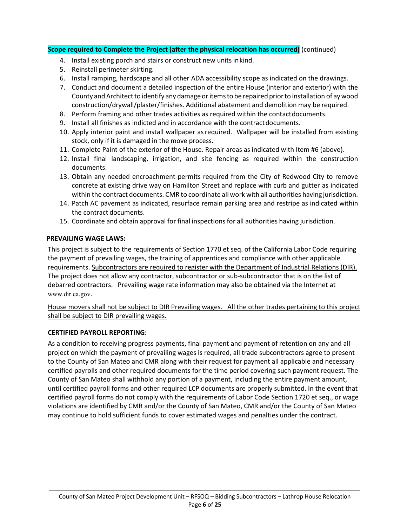#### **Scope required to Complete the Project (after the physical relocation has occurred)** (continued)

- 4. Install existing porch and stairs or construct new units in kind.
- 5. Reinstall perimeter skirting.
- 6. Install ramping, hardscape and all other ADA accessibility scope as indicated on the drawings.
- 7. Conduct and document a detailed inspection of the entire House (interior and exterior) with the County and Architect to identify any damage or items to be repaired prior to installation of ay wood construction/drywall/plaster/finishes. Additional abatement and demolition may be required.
- 8. Perform framing and other trades activities as required within the contact documents.
- 9. Install all finishes as indicted and in accordance with the contract documents.
- 10. Apply interior paint and install wallpaper as required. Wallpaper will be installed from existing stock, only if it is damaged in the move process.
- 11. Complete Paint of the exterior of the House. Repair areas as indicated with Item #6 (above).
- 12. Install final landscaping, irrigation, and site fencing as required within the construction documents.
- 13. Obtain any needed encroachment permits required from the City of Redwood City to remove concrete at existing drive way on Hamilton Street and replace with curb and gutter as indicated within the contract documents. CMR to coordinate all work with all authorities having jurisdiction.
- 14. Patch AC pavement as indicated, resurface remain parking area and restripe as indicated within the contract documents.
- 15. Coordinate and obtain approval for final inspections for all authorities having jurisdiction.

#### **PREVAILING WAGE LAWS:**

This project is subject to the requirements of Section 1770 et seq. of the California Labor Code requiring the payment of prevailing wages, the training of apprentices and compliance with other applicable requirements. Subcontractors are required to register with the Department of Industrial Relations (DIR). The project does not allow any contractor, subcontractor or sub-subcontractor that is on the list of debarred contractors. Prevailing wage rate information may also be obtained via the Internet at www.dir.ca.gov.

House movers shall not be subject to DIR Prevailing wages. All the other trades pertaining to this project shall be subject to DIR prevailing wages.

#### **CERTIFIED PAYROLL REPORTING:**

As a condition to receiving progress payments, final payment and payment of retention on any and all project on which the payment of prevailing wages is required, all trade subcontractors agree to present to the County of San Mateo and CMR along with their request for payment all applicable and necessary certified payrolls and other required documents for the time period covering such payment request. The County of San Mateo shall withhold any portion of a payment, including the entire payment amount, until certified payroll forms and other required LCP documents are properly submitted. In the event that certified payroll forms do not comply with the requirements of Labor Code Section 1720 et seq., or wage violations are identified by CMR and/or the County of San Mateo, CMR and/or the County of San Mateo may continue to hold sufficient funds to cover estimated wages and penalties under the contract.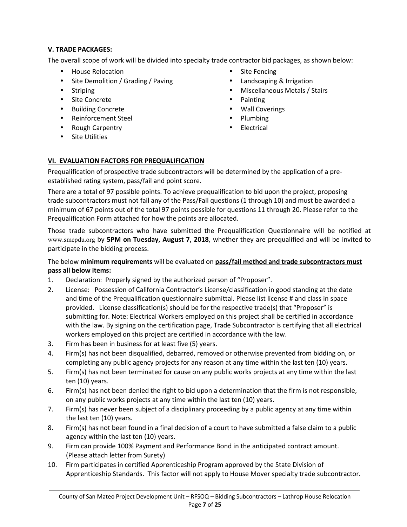### **V. TRADE PACKAGES:**

The overall scope of work will be divided into specialty trade contractor bid packages, as shown below:

- House Relocation
- Site Demolition / Grading / Paving
- Striping
- Site Concrete
- Building Concrete
- Reinforcement Steel
- Rough Carpentry
- Site Utilities
- Site Fencing
- Landscaping & Irrigation
- Miscellaneous Metals / Stairs
- Painting
- Wall Coverings
- Plumbing
- **Electrical**

# **VI. EVALUATION FACTORS FOR PREQUALIFICATION**

Prequalification of prospective trade subcontractors will be determined by the application of a preestablished rating system, pass/fail and point score.

There are a total of 97 possible points. To achieve prequalification to bid upon the project, proposing trade subcontractors must not fail any of the Pass/Fail questions (1 through 10) and must be awarded a minimum of 67 points out of the total 97 points possible for questions 11 through 20. Please refer to the Prequalification Form attached for how the points are allocated.

Those trade subcontractors who have submitted the Prequalification Questionnaire will be notified at www.smcpdu.org by **5PM on Tuesday, August 7, 2018**, whether they are prequalified and will be invited to participate in the bidding process.

#### The below **minimum requirements** will be evaluated on **pass/fail method and trade subcontractors must pass all below items:**

- 1. Declaration: Properly signed by the authorized person of "Proposer".
- 2. License: Possession of California Contractor's License/classification in good standing at the date and time of the Prequalification questionnaire submittal. Please list license # and class in space provided. License classification(s) should be for the respective trade(s) that "Proposer" is submitting for. Note: Electrical Workers employed on this project shall be certified in accordance with the law. By signing on the certification page, Trade Subcontractor is certifying that all electrical workers employed on this project are certified in accordance with the law.
- 3. Firm has been in business for at least five (5) years.
- 4. Firm(s) has not been disqualified, debarred, removed or otherwise prevented from bidding on, or completing any public agency projects for any reason at any time within the last ten (10) years.
- 5. Firm(s) has not been terminated for cause on any public works projects at any time within the last ten (10) years.
- 6. Firm(s) has not been denied the right to bid upon a determination that the firm is not responsible, on any public works projects at any time within the last ten (10) years.
- 7. Firm(s) has never been subject of a disciplinary proceeding by a public agency at any time within the last ten (10) years.
- 8. Firm(s) has not been found in a final decision of a court to have submitted a false claim to a public agency within the last ten (10) years.
- 9. Firm can provide 100% Payment and Performance Bond in the anticipated contract amount. (Please attach letter from Surety)
- 10. Firm participates in certified Apprenticeship Program approved by the State Division of Apprenticeship Standards. This factor will not apply to House Mover specialty trade subcontractor.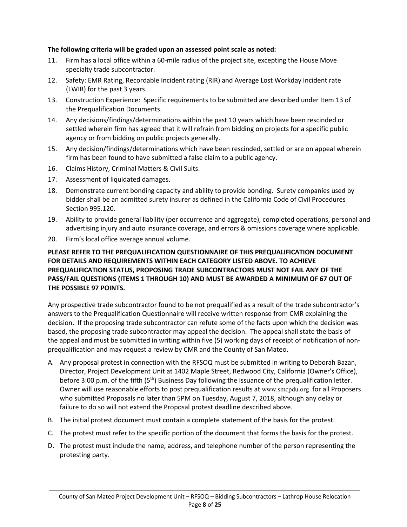#### **The following criteria will be graded upon an assessed point scale as noted:**

- 11. Firm has a local office within a 60-mile radius of the project site, excepting the House Move specialty trade subcontractor.
- 12. Safety: EMR Rating, Recordable Incident rating (RIR) and Average Lost Workday Incident rate (LWIR) for the past 3 years.
- 13. Construction Experience: Specific requirements to be submitted are described under Item 13 of the Prequalification Documents.
- 14. Any decisions/findings/determinations within the past 10 years which have been rescinded or settled wherein firm has agreed that it will refrain from bidding on projects for a specific public agency or from bidding on public projects generally.
- 15. Any decision/findings/determinations which have been rescinded, settled or are on appeal wherein firm has been found to have submitted a false claim to a public agency.
- 16. Claims History, Criminal Matters & Civil Suits.
- 17. Assessment of liquidated damages.
- 18. Demonstrate current bonding capacity and ability to provide bonding. Surety companies used by bidder shall be an admitted surety insurer as defined in the California Code of Civil Procedures Section 995.120.
- 19. Ability to provide general liability (per occurrence and aggregate), completed operations, personal and advertising injury and auto insurance coverage, and errors & omissions coverage where applicable.
- 20. Firm's local office average annual volume.

#### **PLEASE REFER TO THE PREQUALIFICATION QUESTIONNAIRE OF THIS PREQUALIFICATION DOCUMENT FOR DETAILS AND REQUIREMENTS WITHIN EACH CATEGORY LISTED ABOVE. TO ACHIEVE PREQUALIFICATION STATUS, PROPOSING TRADE SUBCONTRACTORS MUST NOT FAIL ANY OF THE PASS/FAIL QUESTIONS (ITEMS 1 THROUGH 10) AND MUST BE AWARDED A MINIMUM OF 67 OUT OF THE POSSIBLE 97 POINTS.**

Any prospective trade subcontractor found to be not prequalified as a result of the trade subcontractor's answers to the Prequalification Questionnaire will receive written response from CMR explaining the decision. If the proposing trade subcontractor can refute some of the facts upon which the decision was based, the proposing trade subcontractor may appeal the decision. The appeal shall state the basis of the appeal and must be submitted in writing within five (5) working days of receipt of notification of nonprequalification and may request a review by CMR and the County of San Mateo.

- A. Any proposal protest in connection with the RFSOQ must be submitted in writing to Deborah Bazan, Director, Project Development Unit at 1402 Maple Street, Redwood City, California (Owner's Office), before 3:00 p.m. of the fifth (5<sup>th</sup>) Business Day following the issuance of the prequalification letter. Owner will use reasonable efforts to post prequalification results at www.smcpdu.org for all Proposers who submitted Proposals no later than 5PM on Tuesday, August 7, 2018, although any delay or failure to do so will not extend the Proposal protest deadline described above.
- B. The initial protest document must contain a complete statement of the basis for the protest.
- C. The protest must refer to the specific portion of the document that forms the basis for the protest.
- D. The protest must include the name, address, and telephone number of the person representing the protesting party.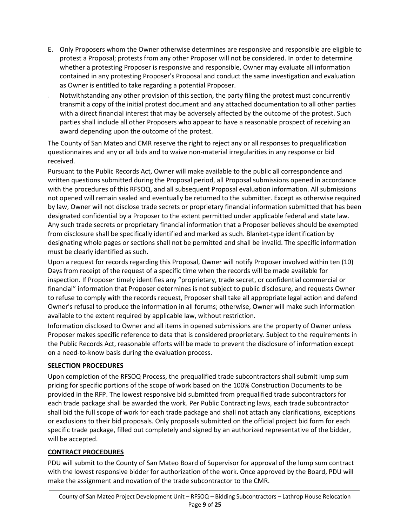- E. Only Proposers whom the Owner otherwise determines are responsive and responsible are eligible to protest a Proposal; protests from any other Proposer will not be considered. In order to determine whether a protesting Proposer is responsive and responsible, Owner may evaluate all information contained in any protesting Proposer's Proposal and conduct the same investigation and evaluation as Owner is entitled to take regarding a potential Proposer.
- Notwithstanding any other provision of this section, the party filing the protest must concurrently transmit a copy of the initial protest document and any attached documentation to all other parties with a direct financial interest that may be adversely affected by the outcome of the protest. Such parties shall include all other Proposers who appear to have a reasonable prospect of receiving an award depending upon the outcome of the protest.

The County of San Mateo and CMR reserve the right to reject any or all responses to prequalification questionnaires and any or all bids and to waive non-material irregularities in any response or bid received.

Pursuant to the Public Records Act, Owner will make available to the public all correspondence and written questions submitted during the Proposal period, all Proposal submissions opened in accordance with the procedures of this RFSOQ, and all subsequent Proposal evaluation information. All submissions not opened will remain sealed and eventually be returned to the submitter. Except as otherwise required by law, Owner will not disclose trade secrets or proprietary financial information submitted that has been designated confidential by a Proposer to the extent permitted under applicable federal and state law. Any such trade secrets or proprietary financial information that a Proposer believes should be exempted from disclosure shall be specifically identified and marked as such. Blanket-type identification by designating whole pages or sections shall not be permitted and shall be invalid. The specific information must be clearly identified as such.

Upon a request for records regarding this Proposal, Owner will notify Proposer involved within ten (10) Days from receipt of the request of a specific time when the records will be made available for inspection. If Proposer timely identifies any "proprietary, trade secret, or confidential commercial or financial" information that Proposer determines is not subject to public disclosure, and requests Owner to refuse to comply with the records request, Proposer shall take all appropriate legal action and defend Owner's refusal to produce the information in all forums; otherwise, Owner will make such information available to the extent required by applicable law, without restriction.

Information disclosed to Owner and all items in opened submissions are the property of Owner unless Proposer makes specific reference to data that is considered proprietary. Subject to the requirements in the Public Records Act, reasonable efforts will be made to prevent the disclosure of information except on a need-to-know basis during the evaluation process.

#### **SELECTION PROCEDURES**

Upon completion of the RFSOQ Process, the prequalified trade subcontractors shall submit lump sum pricing for specific portions of the scope of work based on the 100% Construction Documents to be provided in the RFP. The lowest responsive bid submitted from prequalified trade subcontractors for each trade package shall be awarded the work. Per Public Contracting laws, each trade subcontractor shall bid the full scope of work for each trade package and shall not attach any clarifications, exceptions or exclusions to their bid proposals. Only proposals submitted on the official project bid form for each specific trade package, filled out completely and signed by an authorized representative of the bidder, will be accepted.

#### **CONTRACT PROCEDURES**

PDU will submit to the County of San Mateo Board of Supervisor for approval of the lump sum contract with the lowest responsive bidder for authorization of the work. Once approved by the Board, PDU will make the assignment and novation of the trade subcontractor to the CMR.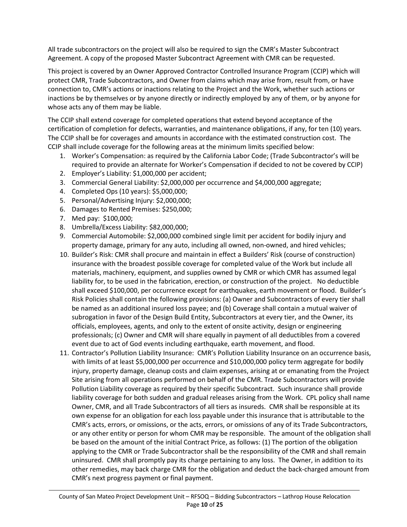All trade subcontractors on the project will also be required to sign the CMR's Master Subcontract Agreement. A copy of the proposed Master Subcontract Agreement with CMR can be requested.

This project is covered by an Owner Approved Contractor Controlled Insurance Program (CCIP) which will protect CMR, Trade Subcontractors, and Owner from claims which may arise from, result from, or have connection to, CMR's actions or inactions relating to the Project and the Work, whether such actions or inactions be by themselves or by anyone directly or indirectly employed by any of them, or by anyone for whose acts any of them may be liable.

The CCIP shall extend coverage for completed operations that extend beyond acceptance of the certification of completion for defects, warranties, and maintenance obligations, if any, for ten (10) years. The CCIP shall be for coverages and amounts in accordance with the estimated construction cost. The CCIP shall include coverage for the following areas at the minimum limits specified below:

- 1. Worker's Compensation: as required by the California Labor Code; (Trade Subcontractor's will be required to provide an alternate for Worker's Compensation if decided to not be covered by CCIP)
- 2. Employer's Liability: \$1,000,000 per accident;
- 3. Commercial General Liability: \$2,000,000 per occurrence and \$4,000,000 aggregate;
- 4. Completed Ops (10 years): \$5,000,000;
- 5. Personal/Advertising Injury: \$2,000,000;
- 6. Damages to Rented Premises: \$250,000;
- 7. Med pay: \$100,000;
- 8. Umbrella/Excess Liability: \$82,000,000;
- 9. Commercial Automobile: \$2,000,000 combined single limit per accident for bodily injury and property damage, primary for any auto, including all owned, non-owned, and hired vehicles;
- 10. Builder's Risk: CMR shall procure and maintain in effect a Builders' Risk (course of construction) insurance with the broadest possible coverage for completed value of the Work but include all materials, machinery, equipment, and supplies owned by CMR or which CMR has assumed legal liability for, to be used in the fabrication, erection, or construction of the project. No deductible shall exceed \$100,000, per occurrence except for earthquakes, earth movement or flood. Builder's Risk Policies shall contain the following provisions: (a) Owner and Subcontractors of every tier shall be named as an additional insured loss payee; and (b) Coverage shall contain a mutual waiver of subrogation in favor of the Design Build Entity, Subcontractors at every tier, and the Owner, its officials, employees, agents, and only to the extent of onsite activity, design or engineering professionals; (c) Owner and CMR will share equally in payment of all deductibles from a covered event due to act of God events including earthquake, earth movement, and flood.
- 11. Contractor's Pollution Liability Insurance: CMR's Pollution Liability Insurance on an occurrence basis, with limits of at least \$5,000,000 per occurrence and \$10,000,000 policy term aggregate for bodily injury, property damage, cleanup costs and claim expenses, arising at or emanating from the Project Site arising from all operations performed on behalf of the CMR. Trade Subcontractors will provide Pollution Liability coverage as required by their specific Subcontract. Such insurance shall provide liability coverage for both sudden and gradual releases arising from the Work. CPL policy shall name Owner, CMR, and all Trade Subcontractors of all tiers as insureds. CMR shall be responsible at its own expense for an obligation for each loss payable under this insurance that is attributable to the CMR's acts, errors, or omissions, or the acts, errors, or omissions of any of its Trade Subcontractors, or any other entity or person for whom CMR may be responsible. The amount of the obligation shall be based on the amount of the initial Contract Price, as follows: (1) The portion of the obligation applying to the CMR or Trade Subcontractor shall be the responsibility of the CMR and shall remain uninsured. CMR shall promptly pay its charge pertaining to any loss. The Owner, in addition to its other remedies, may back charge CMR for the obligation and deduct the back-charged amount from CMR's next progress payment or final payment.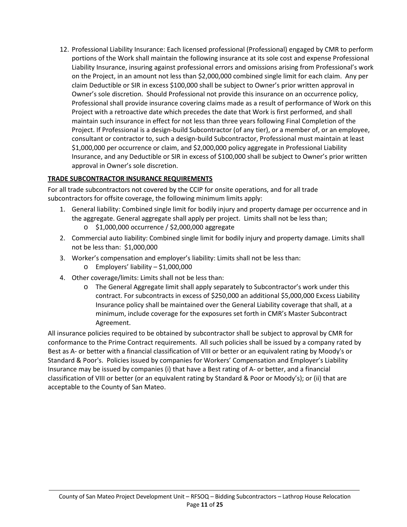12. Professional Liability Insurance: Each licensed professional (Professional) engaged by CMR to perform portions of the Work shall maintain the following insurance at its sole cost and expense Professional Liability Insurance, insuring against professional errors and omissions arising from Professional's work on the Project, in an amount not less than \$2,000,000 combined single limit for each claim. Any per claim Deductible or SIR in excess \$100,000 shall be subject to Owner's prior written approval in Owner's sole discretion. Should Professional not provide this insurance on an occurrence policy, Professional shall provide insurance covering claims made as a result of performance of Work on this Project with a retroactive date which precedes the date that Work is first performed, and shall maintain such insurance in effect for not less than three years following Final Completion of the Project. If Professional is a design-build Subcontractor (of any tier), or a member of, or an employee, consultant or contractor to, such a design-build Subcontractor, Professional must maintain at least \$1,000,000 per occurrence or claim, and \$2,000,000 policy aggregate in Professional Liability Insurance, and any Deductible or SIR in excess of \$100,000 shall be subject to Owner's prior written approval in Owner's sole discretion.

## **TRADE SUBCONTRACTOR INSURANCE REQUIREMENTS**

For all trade subcontractors not covered by the CCIP for onsite operations, and for all trade subcontractors for offsite coverage, the following minimum limits apply:

- 1. General liability: Combined single limit for bodily injury and property damage per occurrence and in the aggregate. General aggregate shall apply per project. Limits shall not be less than;
	- o \$1,000,000 occurrence / \$2,000,000 aggregate
- 2. Commercial auto liability: Combined single limit for bodily injury and property damage. Limits shall not be less than: \$1,000,000
- 3. Worker's compensation and employer's liability: Limits shall not be less than:
	- o Employers' liability \$1,000,000
- 4. Other coverage/limits: Limits shall not be less than:
	- o The General Aggregate limit shall apply separately to Subcontractor's work under this contract. For subcontracts in excess of \$250,000 an additional \$5,000,000 Excess Liability Insurance policy shall be maintained over the General Liability coverage that shall, at a minimum, include coverage for the exposures set forth in CMR's Master Subcontract Agreement.

All insurance policies required to be obtained by subcontractor shall be subject to approval by CMR for conformance to the Prime Contract requirements. All such policies shall be issued by a company rated by Best as A- or better with a financial classification of VIII or better or an equivalent rating by Moody's or Standard & Poor's. Policies issued by companies for Workers' Compensation and Employer's Liability Insurance may be issued by companies (i) that have a Best rating of A- or better, and a financial classification of VIII or better (or an equivalent rating by Standard & Poor or Moody's); or (ii) that are acceptable to the County of San Mateo.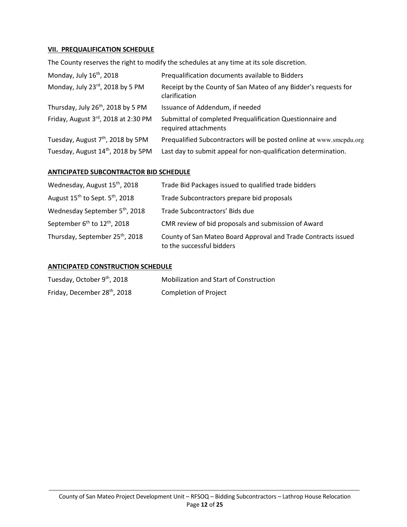#### **VII. PREQUALIFICATION SCHEDULE**

The County reserves the right to modify the schedules at any time at its sole discretion.

| Monday, July 16 <sup>th</sup> , 2018           | Prequalification documents available to Bidders                                   |
|------------------------------------------------|-----------------------------------------------------------------------------------|
| Monday, July 23rd, 2018 by 5 PM                | Receipt by the County of San Mateo of any Bidder's requests for<br>clarification  |
| Thursday, July 26 <sup>th</sup> , 2018 by 5 PM | Issuance of Addendum, if needed                                                   |
| Friday, August 3rd, 2018 at 2:30 PM            | Submittal of completed Prequalification Questionnaire and<br>required attachments |
| Tuesday, August 7 <sup>th</sup> , 2018 by 5PM  | Prequalified Subcontractors will be posted online at www.smcpdu.org               |
| Tuesday, August 14th, 2018 by 5PM              | Last day to submit appeal for non-qualification determination.                    |

#### **ANTICIPATED SUBCONTRACTOR BID SCHEDULE**

| Wednesday, August 15 <sup>th</sup> , 2018            | Trade Bid Packages issued to qualified trade bidders                                       |
|------------------------------------------------------|--------------------------------------------------------------------------------------------|
| August $15^{th}$ to Sept. $5^{th}$ , 2018            | Trade Subcontractors prepare bid proposals                                                 |
| Wednesday September 5 <sup>th</sup> , 2018           | Trade Subcontractors' Bids due                                                             |
| September 6 <sup>th</sup> to 12 <sup>th</sup> , 2018 | CMR review of bid proposals and submission of Award                                        |
| Thursday, September 25th, 2018                       | County of San Mateo Board Approval and Trade Contracts issued<br>to the successful bidders |

#### **ANTICIPATED CONSTRUCTION SCHEDULE**

| Tuesday, October 9 <sup>th</sup> , 2018 | <b>Mobilization and Start of Construction</b> |
|-----------------------------------------|-----------------------------------------------|
| Friday, December 28th, 2018             | Completion of Project                         |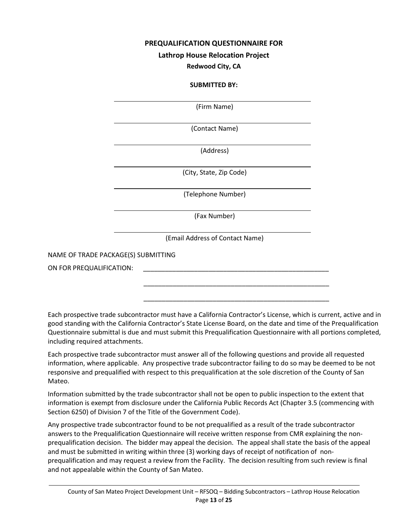#### **PREQUALIFICATION QUESTIONNAIRE FOR**

#### **Lathrop House Relocation Project**

#### **Redwood City, CA**

#### **SUBMITTED BY:**

(Firm Name)

(Contact Name)

(Address)

(City, State, Zip Code)

(Telephone Number)

(Fax Number)

(Email Address of Contact Name)

 $\frac{1}{\sqrt{2}}$  ,  $\frac{1}{\sqrt{2}}$  ,  $\frac{1}{\sqrt{2}}$  ,  $\frac{1}{\sqrt{2}}$  ,  $\frac{1}{\sqrt{2}}$  ,  $\frac{1}{\sqrt{2}}$  ,  $\frac{1}{\sqrt{2}}$  ,  $\frac{1}{\sqrt{2}}$  ,  $\frac{1}{\sqrt{2}}$  ,  $\frac{1}{\sqrt{2}}$  ,  $\frac{1}{\sqrt{2}}$  ,  $\frac{1}{\sqrt{2}}$  ,  $\frac{1}{\sqrt{2}}$  ,  $\frac{1}{\sqrt{2}}$  ,  $\frac{1}{\sqrt{2}}$ 

 $\overline{\phantom{a}}$  ,  $\overline{\phantom{a}}$  ,  $\overline{\phantom{a}}$  ,  $\overline{\phantom{a}}$  ,  $\overline{\phantom{a}}$  ,  $\overline{\phantom{a}}$  ,  $\overline{\phantom{a}}$  ,  $\overline{\phantom{a}}$  ,  $\overline{\phantom{a}}$  ,  $\overline{\phantom{a}}$  ,  $\overline{\phantom{a}}$  ,  $\overline{\phantom{a}}$  ,  $\overline{\phantom{a}}$  ,  $\overline{\phantom{a}}$  ,  $\overline{\phantom{a}}$  ,  $\overline{\phantom{a}}$ 

NAME OF TRADE PACKAGE(S) SUBMITTING

l

l

l

l

l

l

l

ON FOR PREQUALIFICATION:

Each prospective trade subcontractor must have a California Contractor's License, which is current, active and in good standing with the California Contractor's State License Board, on the date and time of the Prequalification Questionnaire submittal is due and must submit this Prequalification Questionnaire with all portions completed, including required attachments.

Each prospective trade subcontractor must answer all of the following questions and provide all requested information, where applicable. Any prospective trade subcontractor failing to do so may be deemed to be not responsive and prequalified with respect to this prequalification at the sole discretion of the County of San Mateo.

Information submitted by the trade subcontractor shall not be open to public inspection to the extent that information is exempt from disclosure under the California Public Records Act (Chapter 3.5 (commencing with Section 6250) of Division 7 of the Title of the Government Code).

Any prospective trade subcontractor found to be not prequalified as a result of the trade subcontractor answers to the Prequalification Questionnaire will receive written response from CMR explaining the nonprequalification decision. The bidder may appeal the decision. The appeal shall state the basis of the appeal and must be submitted in writing within three (3) working days of receipt of notification of nonprequalification and may request a review from the Facility. The decision resulting from such review is final and not appealable within the County of San Mateo.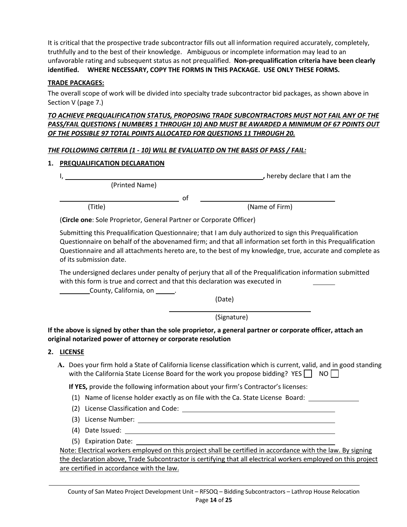It is critical that the prospective trade subcontractor fills out all information required accurately, completely, truthfully and to the best of their knowledge. Ambiguous or incomplete information may lead to an unfavorable rating and subsequent status as not prequalified. **Non-prequalification criteria have been clearly identified. WHERE NECESSARY, COPY THE FORMS IN THIS PACKAGE. USE ONLY THESE FORMS.** 

#### **TRADE PACKAGES:**

The overall scope of work will be divided into specialty trade subcontractor bid packages, as shown above in Section V (page 7.)

#### *TO ACHIEVE PREQUALIFICATION STATUS, PROPOSING TRADE SUBCONTRACTORS MUST NOT FAIL ANY OF THE PASS/FAIL QUESTIONS ( NUMBERS 1 THROUGH 10) AND MUST BE AWARDED A MINIMUM OF 67 POINTS OUT OF THE POSSIBLE 97 TOTAL POINTS ALLOCATED FOR QUESTIONS 11 THROUGH 20.*

#### *THE FOLLOWING CRITERIA (1 - 10) WILL BE EVALUATED ON THE BASIS OF PASS / FAIL:*

#### **1. PREQUALIFICATION DECLARATION**

|  | , hereby declare that I am the |  |
|--|--------------------------------|--|
|  |                                |  |

(Printed Name)

(Title) (Name of Firm)

(**Circle one**: Sole Proprietor, General Partner or Corporate Officer)

of

Submitting this Prequalification Questionnaire; that I am duly authorized to sign this Prequalification Questionnaire on behalf of the abovenamed firm; and that all information set forth in this Prequalification Questionnaire and all attachments hereto are, to the best of my knowledge, true, accurate and complete as of its submission date.

The undersigned declares under penalty of perjury that all of the Prequalification information submitted with this form is true and correct and that this declaration was executed in

**County, California, on \_\_\_\_\_\_\_.** 

(Date)

(Signature)

**If the above is signed by other than the sole proprietor, a general partner or corporate officer, attach an original notarized power of attorney or corporate resolution** 

#### **2. LICENSE**

**A.** Does your firm hold a State of California license classification which is current, valid, and in good standing with the California State License Board for the work you propose bidding? YES  $\vert$  NO  $\vert$ 

**If YES,** provide the following information about your firm's Contractor's licenses:

- (1) Name of license holder exactly as on file with the Ca. State License Board:
- (2) License Classification and Code:
- (3) License Number:
- (4) Date Issued:
- (5) Expiration Date:

Note: Electrical workers employed on this project shall be certified in accordance with the law. By signing the declaration above, Trade Subcontractor is certifying that all electrical workers employed on this project are certified in accordance with the law.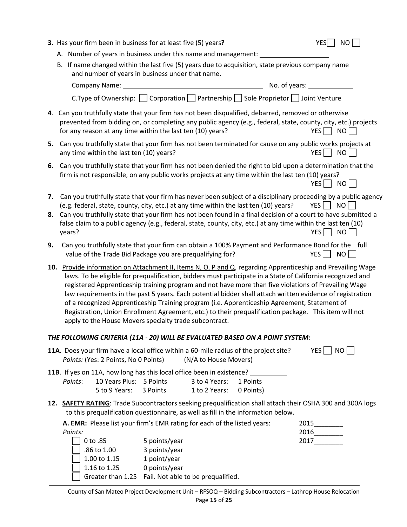|          | 3. Has your firm been in business for at least five (5) years?<br><b>YES</b><br><b>NO</b>                                                                                                                                                                                                                                                                                                                                                                                                                                                                                                                                                                                                                          |
|----------|--------------------------------------------------------------------------------------------------------------------------------------------------------------------------------------------------------------------------------------------------------------------------------------------------------------------------------------------------------------------------------------------------------------------------------------------------------------------------------------------------------------------------------------------------------------------------------------------------------------------------------------------------------------------------------------------------------------------|
|          | A. Number of years in business under this name and management:                                                                                                                                                                                                                                                                                                                                                                                                                                                                                                                                                                                                                                                     |
|          | B. If name changed within the last five (5) years due to acquisition, state previous company name<br>and number of years in business under that name.                                                                                                                                                                                                                                                                                                                                                                                                                                                                                                                                                              |
|          | <u> 1980 - Jan James Barbara, president e</u><br>Company Name:<br>No. of years:                                                                                                                                                                                                                                                                                                                                                                                                                                                                                                                                                                                                                                    |
|          | C. Type of Ownership: $\Box$ Corporation $\Box$ Partnership $\Box$ Sole Proprietor $\Box$ Joint Venture                                                                                                                                                                                                                                                                                                                                                                                                                                                                                                                                                                                                            |
|          | 4. Can you truthfully state that your firm has not been disqualified, debarred, removed or otherwise<br>prevented from bidding on, or completing any public agency (e.g., federal, state, county, city, etc.) projects<br>for any reason at any time within the last ten (10) years?<br>$YES$ NO                                                                                                                                                                                                                                                                                                                                                                                                                   |
| 5.       | Can you truthfully state that your firm has not been terminated for cause on any public works projects at<br>$YES$   NO<br>any time within the last ten (10) years?                                                                                                                                                                                                                                                                                                                                                                                                                                                                                                                                                |
|          | 6. Can you truthfully state that your firm has not been denied the right to bid upon a determination that the<br>firm is not responsible, on any public works projects at any time within the last ten (10) years?<br>YES   NO                                                                                                                                                                                                                                                                                                                                                                                                                                                                                     |
| 7.<br>8. | Can you truthfully state that your firm has never been subject of a disciplinary proceeding by a public agency<br>(e.g. federal, state, county, city, etc.) at any time within the last ten (10) years?<br>YES   NO    <br>Can you truthfully state that your firm has not been found in a final decision of a court to have submitted a<br>false claim to a public agency (e.g., federal, state, county, city, etc.) at any time within the last ten (10)<br>$YES$   NO<br>years?                                                                                                                                                                                                                                 |
| 9.       | Can you truthfully state that your firm can obtain a 100% Payment and Performance Bond for the full<br>value of the Trade Bid Package you are prequalifying for?<br>$YES$    <br>NO                                                                                                                                                                                                                                                                                                                                                                                                                                                                                                                                |
|          | 10. Provide information on Attachment II, Items N, O, P and Q, regarding Apprenticeship and Prevailing Wage<br>laws. To be eligible for prequalification, bidders must participate in a State of California recognized and<br>registered Apprenticeship training program and not have more than five violations of Prevailing Wage<br>law requirements in the past 5 years. Each potential bidder shall attach written evidence of registration<br>of a recognized Apprenticeship Training program (i.e. Apprenticeship Agreement, Statement of<br>Registration, Union Enrollment Agreement, etc.) to their prequalification package. This item will not<br>apply to the House Movers specialty trade subcontract. |
|          | <u>THE FOLLOWING CRITERIA (11A - 20) WILL BE EVALUATED BASED ON A POINT SYSTEM:</u>                                                                                                                                                                                                                                                                                                                                                                                                                                                                                                                                                                                                                                |
|          | YES   NO<br>11A. Does your firm have a local office within a 60-mile radius of the project site?<br>(N/A to House Movers)<br>Points: (Yes: 2 Points, No 0 Points)                                                                                                                                                                                                                                                                                                                                                                                                                                                                                                                                                  |
|          | 11B. If yes on 11A, how long has this local office been in existence?<br>10 Years Plus: 5 Points<br>Points:<br>3 to 4 Years:<br>1 Points<br>5 to 9 Years:<br>3 Points<br>1 to 2 Years:<br>0 Points)                                                                                                                                                                                                                                                                                                                                                                                                                                                                                                                |
|          | 12. SAFETY RATING: Trade Subcontractors seeking prequalification shall attach their OSHA 300 and 300A logs<br>to this prequalification questionnaire, as well as fill in the information below.                                                                                                                                                                                                                                                                                                                                                                                                                                                                                                                    |
|          | A. EMR: Please list your firm's EMR rating for each of the listed years:<br>2016<br>Points:<br>0 to .85<br>2017<br>5 points/year<br>.86 to 1.00<br>3 points/year<br>1.00 to 1.15<br>1 point/year<br>1.16 to 1.25<br>0 points/year<br>Greater than 1.25 Fail. Not able to be prequalified.<br>County of San Mateo Project Development Unit - RFSOQ - Bidding Subcontractors - Lathrop House Relocation                                                                                                                                                                                                                                                                                                              |
|          | Page 15 of 25                                                                                                                                                                                                                                                                                                                                                                                                                                                                                                                                                                                                                                                                                                      |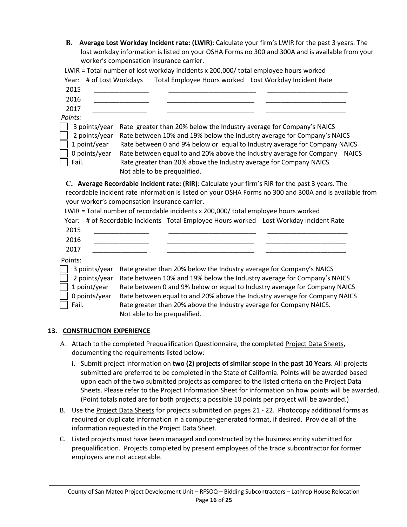**B. Average Lost Workday Incident rate: (LWIR)**: Calculate your firm's LWIR for the past 3 years. The lost workday information is listed on your OSHA Forms no 300 and 300A and is available from your worker's compensation insurance carrier.

| 2015                                           |                                               |                                                                                                                                                                        |                                                                                                         |
|------------------------------------------------|-----------------------------------------------|------------------------------------------------------------------------------------------------------------------------------------------------------------------------|---------------------------------------------------------------------------------------------------------|
| 2016                                           |                                               |                                                                                                                                                                        |                                                                                                         |
| 2017                                           |                                               |                                                                                                                                                                        |                                                                                                         |
| Points:<br>3 points/year                       |                                               | Rate greater than 20% below the Industry average for Company's NAICS                                                                                                   |                                                                                                         |
| 2 points/year<br>1 point/year<br>0 points/year |                                               | Rate between 10% and 19% below the Industry average for Company's NAICS<br>Rate between equal to and 20% above the Industry average for Company                        | Rate between 0 and 9% below or equal to Industry average for Company NAICS<br><b>NAICS</b>              |
| Fail.                                          | Not able to be prequalified.                  | Rate greater than 20% above the Industry average for Company NAICS.                                                                                                    |                                                                                                         |
|                                                | your worker's compensation insurance carrier. | C. Average Recordable Incident rate: (RIR): Calculate your firm's RIR for the past 3 years. The                                                                        | recordable incident rate information is listed on your OSHA Forms no 300 and 300A and is available from |
| Year:                                          |                                               | LWIR = Total number of recordable incidents x 200,000/ total employee hours worked<br># of Recordable Incidents Total Employee Hours worked Lost Workday Incident Rate |                                                                                                         |
| 2015                                           |                                               |                                                                                                                                                                        |                                                                                                         |
| 2016                                           |                                               |                                                                                                                                                                        |                                                                                                         |

 2 points/year Rate between 10% and 19% below the Industry average for Company's NAICS 1 point/year Rate between 0 and 9% below or equal to Industry average for Company NAICS 0 points/year Rate between equal to and 20% above the Industry average for Company NAICS Fail. Rate greater than 20% above the Industry average for Company NAICS. Not able to be prequalified.

#### **13. CONSTRUCTION EXPERIENCE**

- A. Attach to the completed Prequalification Questionnaire, the completed Project Data Sheets, documenting the requirements listed below:
	- i. Submit project information on **two (2) projects of similar scope in the past 10 Years**. All projects submitted are preferred to be completed in the State of California. Points will be awarded based upon each of the two submitted projects as compared to the listed criteria on the Project Data Sheets. Please refer to the Project Information Sheet for information on how points will be awarded. (Point totals noted are for both projects; a possible 10 points per project will be awarded.)
- B. Use the Project Data Sheets for projects submitted on pages 21 22. Photocopy additional forms as required or duplicate information in a computer-generated format, if desired. Provide all of the information requested in the Project Data Sheet.
- C. Listed projects must have been managed and constructed by the business entity submitted for prequalification. Projects completed by present employees of the trade subcontractor for former employers are not acceptable.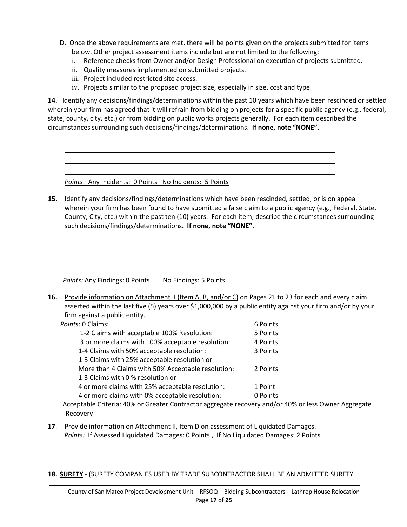- D. Once the above requirements are met, there will be points given on the projects submitted for items below. Other project assessment items include but are not limited to the following:
	- i. Reference checks from Owner and/or Design Professional on execution of projects submitted.
	- ii. Quality measures implemented on submitted projects.
	- iii. Project included restricted site access.

l l

l

l l iv. Projects similar to the proposed project size, especially in size, cost and type.

**14.** Identify any decisions/findings/determinations within the past 10 years which have been rescinded or settled wherein your firm has agreed that it will refrain from bidding on projects for a specific public agency (e.g., federal, state, county, city, etc.) or from bidding on public works projects generally. For each item described the circumstances surrounding such decisions/findings/determinations. **If none, note "NONE".** 

*Points*: Any Incidents: 0 Points No Incidents: 5 Points

**15.** Identify any decisions/findings/determinations which have been rescinded, settled, or is on appeal wherein your firm has been found to have submitted a false claim to a public agency (e.g., Federal, State. County, City, etc.) within the past ten (10) years. For each item, describe the circumstances surrounding such decisions/findings/determinations. **If none, note "NONE".** 

*Points:* Any Findings: 0 Points No Findings: 5 Points

**16.** Provide information on Attachment II (Item A, B, and/or C) on Pages 21 to 23 for each and every claim asserted within the last five (5) years over \$1,000,000 by a public entity against your firm and/or by your firm against a public entity.

| Points: 0 Claims:                                                       | 6 Points |
|-------------------------------------------------------------------------|----------|
| 1-2 Claims with acceptable 100% Resolution:                             | 5 Points |
| 3 or more claims with 100% acceptable resolution:                       | 4 Points |
| 1-4 Claims with 50% acceptable resolution:                              | 3 Points |
| 1-3 Claims with 25% acceptable resolution or                            |          |
| More than 4 Claims with 50% Acceptable resolution:                      | 2 Points |
| 1-3 Claims with 0 % resolution or                                       |          |
| 4 or more claims with 25% acceptable resolution:                        | 1 Point  |
| 4 or more claims with 0% acceptable resolution:                         | 0 Points |
| Accontable Criteria: 10% or Creater Contractor accreate resource and/or |          |

Acceptable Criteria: 40% or Greater Contractor aggregate recovery and/or 40% or less Owner Aggregate Recovery

- **17**. Provide information on Attachment II, Item D on assessment of Liquidated Damages. *Points:* If Assessed Liquidated Damages: 0 Points , If No Liquidated Damages: 2 Points
- **18. SURETY** (SURETY COMPANIES USED BY TRADE SUBCONTRACTOR SHALL BE AN ADMITTED SURETY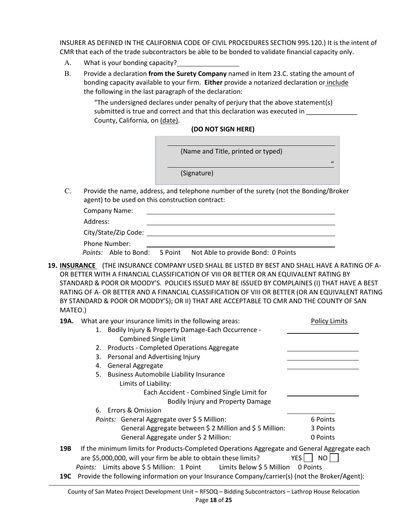INSURER AS DEFINED IN THE CALIFORNIA CODE OF CIVIL PROCEDURES SECTION 995.120.) It is the intent of CMR that each of the trade subcontractors be able to be bonded to validate financial capacity only.

- A. What is your bonding capacity?
- B. Provide a declaration **from the Surety Company** named in Item 23.C. stating the amount of bonding capacity available to your firm. **Either** provide a notarized declaration or include the following in the last paragraph of the declaration:

"The undersigned declares under penalty of perjury that the above statement(s) submitted is true and correct and that this declaration was executed in \_\_\_\_\_\_\_\_ County, California, on (date).

#### **(DO NOT SIGN HERE)**

(Name and Title, printed or typed)

(Signature)

"

C. Provide the name, address, and telephone number of the surety (not the Bonding/Broker agent) to be used on this construction contract:

Company Name:

Address:

| City/State/Zip Code: |  |
|----------------------|--|
| Phone Number:        |  |

|  | <i>Points:</i> Able to Bond: 5 Point Not Able to provide Bond: 0 Points |
|--|-------------------------------------------------------------------------|
|  |                                                                         |

**19. INSURANCE** (THE INSURANCE COMPANY USED SHALL BE LISTED BY BEST AND SHALL HAVE A RATING OF A-OR BETTER WITH A FINANCIAL CLASSIFICATION OF VIII OR BETTER OR AN EQUIVALENT RATING BY STANDARD & POOR OR MOODY'S. POLICIES ISSUED MAY BE ISSUED BY COMPLAINES (I) THAT HAVE A BEST RATING OF A- OR BETTER AND A FINANCIAL CLASSIFICATION OF VIII OR BETTER (OR AN EQUIVALENT RATING BY STANDARD & POOR OR MODDY'S); OR II) THAT ARE ACCEPTABLE TO CMR AND THE COUNTY OF SAN MATEO.)

| 19A. | What are your insurance limits in the following areas:                                         | <b>Policy Limits</b> |
|------|------------------------------------------------------------------------------------------------|----------------------|
|      | 1. Bodily Injury & Property Damage-Each Occurrence -                                           |                      |
|      | <b>Combined Single Limit</b>                                                                   |                      |
|      | <b>Products - Completed Operations Aggregate</b><br>2.                                         |                      |
|      | 3. Personal and Advertising Injury                                                             |                      |
|      | 4. General Aggregate                                                                           |                      |
|      | 5. Business Automobile Liability Insurance                                                     |                      |
|      | Limits of Liability:                                                                           |                      |
|      | Each Accident - Combined Single Limit for                                                      |                      |
|      | <b>Bodily Injury and Property Damage</b>                                                       |                      |
|      | 6. Errors & Omission                                                                           |                      |
|      | Points: General Aggregate over \$5 Million:                                                    | 6 Points             |
|      | General Aggregate between \$2 Million and \$5 Million:                                         | 3 Points             |
|      | General Aggregate under \$2 Million:                                                           | 0 Points             |
| 19B  | If the minimum limits for Products-Completed Operations Aggregate and General Aggregate each   |                      |
|      | are \$5,000,000, will your firm be able to obtain these limits?                                | YES  <br>NO I        |
|      | <i>Points:</i> Limits above \$5 Million: 1 Point Limits Below \$5 Million                      | 0 Points             |
| 19C  | Provide the following information on your Insurance Company/carrier(s) (not the Broker/Agent): |                      |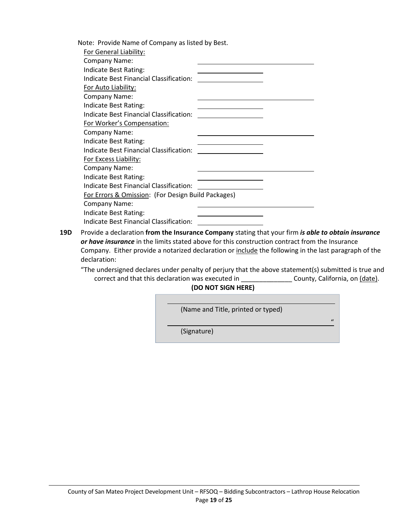| Note: Provide Name of Company as listed by Best.   |  |
|----------------------------------------------------|--|
| <b>For General Liability:</b>                      |  |
| Company Name:                                      |  |
| Indicate Best Rating:                              |  |
| Indicate Best Financial Classification:            |  |
| For Auto Liability:                                |  |
| Company Name:                                      |  |
| Indicate Best Rating:                              |  |
| Indicate Best Financial Classification:            |  |
| For Worker's Compensation:                         |  |
| <b>Company Name:</b>                               |  |
| Indicate Best Rating:                              |  |
| Indicate Best Financial Classification:            |  |
| For Excess Liability:                              |  |
| Company Name:                                      |  |
| Indicate Best Rating:                              |  |
| Indicate Best Financial Classification:            |  |
| For Errors & Omission: (For Design Build Packages) |  |
| Company Name:                                      |  |
| Indicate Best Rating:                              |  |
| Indicate Best Financial Classification:            |  |

- **19D** Provide a declaration **from the Insurance Company** stating that your firm *is able to obtain insurance or have insurance* in the limits stated above for this construction contract from the Insurance Company. Either provide a notarized declaration or include the following in the last paragraph of the declaration:
	- "The undersigned declares under penalty of perjury that the above statement(s) submitted is true and correct and that this declaration was executed in \_\_\_\_\_\_\_\_\_\_\_\_\_\_\_\_\_\_\_\_County, California, on (date).

**(DO NOT SIGN HERE)**

| (Name and Title, printed or typed) |              |
|------------------------------------|--------------|
|                                    | $\mathbf{u}$ |
| (Signature)                        |              |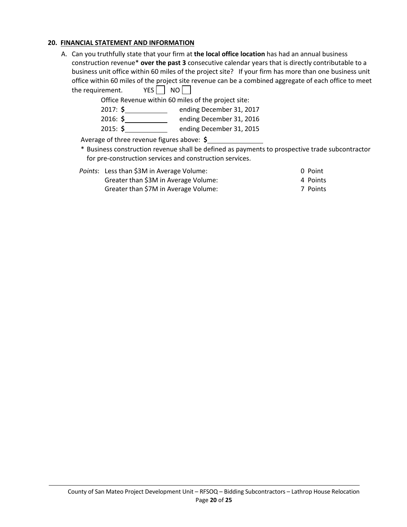#### **20. FINANCIAL STATEMENT AND INFORMATION**

A. Can you truthfully state that your firm at **the local office location** has had an annual business construction revenue\* **over the past 3** consecutive calendar years that is directly contributable to a business unit office within 60 miles of the project site? If your firm has more than one business unit office within 60 miles of the project site revenue can be a combined aggregate of each office to meet the requirement.  $YES \nightharpoonup NO$ 

Office Revenue within 60 miles of the project site:

- 2017: **\$** ending December 31, 2017
- 2016: **\$** ending December 31, 2016
- 2015: **\$** ending December 31, 2015

Average of three revenue figures above: **\$**

\* Business construction revenue shall be defined as payments to prospective trade subcontractor for pre-construction services and construction services.

| Points: Less than \$3M in Average Volume: | 0 Point  |
|-------------------------------------------|----------|
| Greater than \$3M in Average Volume:      | 4 Points |
| Greater than \$7M in Average Volume:      | 7 Points |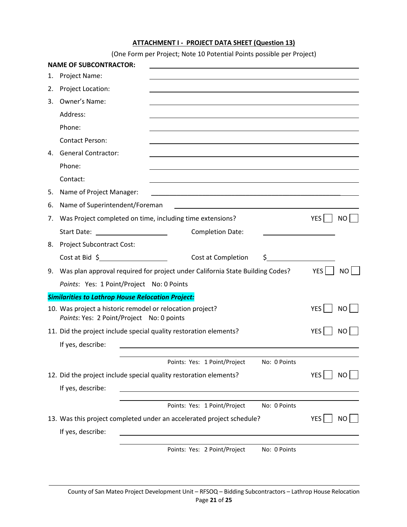#### **ATTACHMENT I - PROJECT DATA SHEET (Question 13)**

(One Form per Project; Note 10 Potential Points possible per Project)

|    | <b>NAME OF SUBCONTRACTOR:</b>                                                                                                              |            |           |
|----|--------------------------------------------------------------------------------------------------------------------------------------------|------------|-----------|
| 1. | Project Name:                                                                                                                              |            |           |
| 2. | Project Location:                                                                                                                          |            |           |
| 3. | Owner's Name:                                                                                                                              |            |           |
|    | Address:                                                                                                                                   |            |           |
|    | Phone:                                                                                                                                     |            |           |
|    | <b>Contact Person:</b>                                                                                                                     |            |           |
|    | 4. General Contractor:                                                                                                                     |            |           |
|    | Phone:                                                                                                                                     |            |           |
|    | Contact:                                                                                                                                   |            |           |
| 5. | Name of Project Manager:                                                                                                                   |            |           |
| 6. | Name of Superintendent/Foreman                                                                                                             |            |           |
| 7. | Was Project completed on time, including time extensions?                                                                                  | YES        | NO.       |
|    | <b>Completion Date:</b>                                                                                                                    |            |           |
| 8. | <b>Project Subcontract Cost:</b>                                                                                                           |            |           |
|    | Cost at Bid 5<br>Cost at Completion<br>S.                                                                                                  |            |           |
| 9. | Was plan approval required for project under California State Building Codes?                                                              | YES        | <b>NO</b> |
|    | Points: Yes: 1 Point/Project No: 0 Points                                                                                                  |            |           |
|    | <b>Similarities to Lathrop House Relocation Project:</b>                                                                                   |            |           |
|    | 10. Was project a historic remodel or relocation project?<br>Points: Yes: 2 Point/Project No: 0 points                                     | YES        | NO.       |
|    | 11. Did the project include special quality restoration elements?                                                                          | YES        | <b>NO</b> |
|    | If yes, describe:<br><u>and the state of the state of the state of the state of the state of the state of the state of the state of th</u> |            |           |
|    | No: 0 Points<br>Points: Yes: 1 Point/Project                                                                                               |            |           |
|    | 12. Did the project include special quality restoration elements?                                                                          | YES        | NO I      |
|    | If yes, describe:                                                                                                                          |            |           |
|    |                                                                                                                                            |            |           |
|    | Points: Yes: 1 Point/Project<br>No: 0 Points                                                                                               |            |           |
|    | 13. Was this project completed under an accelerated project schedule?                                                                      | <b>YES</b> | NO        |
|    | If yes, describe:                                                                                                                          |            |           |
|    | Points: Yes: 2 Point/Project<br>No: 0 Points                                                                                               |            |           |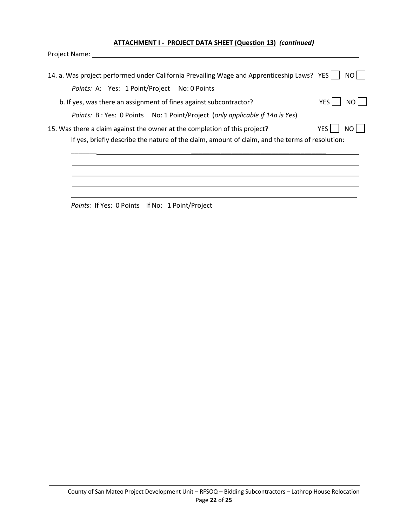#### **ATTACHMENT I - PROJECT DATA SHEET (Question 13)** *(continued)*

Project Name:

| 14. a. Was project performed under California Prevailing Wage and Apprenticeship Laws? YES      | NO.         |
|-------------------------------------------------------------------------------------------------|-------------|
| Points: A: Yes: 1 Point/Project No: 0 Points                                                    |             |
| b. If yes, was there an assignment of fines against subcontractor?                              | YES I<br>NO |
| Points: B: Yes: 0 Points  No: 1 Point/Project (only applicable if 14a is Yes)                   |             |
| 15. Was there a claim against the owner at the completion of this project?                      | YES         |
| If yes, briefly describe the nature of the claim, amount of claim, and the terms of resolution: |             |
|                                                                                                 |             |
|                                                                                                 |             |
|                                                                                                 |             |
|                                                                                                 |             |

Points: If Yes: 0 Points If No: 1 Point/Project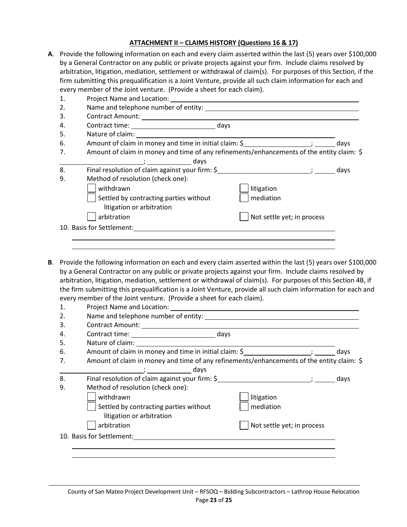#### **ATTACHMENT II – CLAIMS HISTORY (Questions 16 & 17)**

**A**. Provide the following information on each and every claim asserted within the last (5) years over \$100,000 by a General Contractor on any public or private projects against your firm. Include claims resolved by arbitration, litigation, mediation, settlement or withdrawal of claim(s). For purposes of this Section, if the firm submitting this prequalification is a Joint Venture, provide all such claim information for each and every member of the Joint venture. (Provide a sheet for each claim).

|                                                                                                                 | days                       |
|-----------------------------------------------------------------------------------------------------------------|----------------------------|
| Amount of claim in money and time of any refinements/enhancements of the entity claim: \$                       |                            |
| days the contract of the contract of the contract of the contract of the contract of the contract of the contra |                            |
| Final resolution of claim against your firm: \$                                                                 | days                       |
| Method of resolution (check one):                                                                               |                            |
| withdrawn                                                                                                       | litigation                 |
| Settled by contracting parties without                                                                          | mediation                  |
| litigation or arbitration                                                                                       |                            |
| arbitration                                                                                                     | Not settle yet; in process |
| 10. Basis for Settlement:                                                                                       |                            |
|                                                                                                                 |                            |

**B**. Provide the following information on each and every claim asserted within the last (5) years over \$100,000 by a General Contractor on any public or private projects against your firm. Include claims resolved by arbitration, litigation, mediation, settlement or withdrawal of claim(s). For purposes of this Section 4B, if the firm submitting this prequalification is a Joint Venture, provide all such claim information for each and every member of the Joint venture. (Provide a sheet for each claim).

|                                        |                           |                                                                                                                                                                                                                                | days                                                                                                                                                                                                                                 |
|----------------------------------------|---------------------------|--------------------------------------------------------------------------------------------------------------------------------------------------------------------------------------------------------------------------------|--------------------------------------------------------------------------------------------------------------------------------------------------------------------------------------------------------------------------------------|
|                                        |                           |                                                                                                                                                                                                                                |                                                                                                                                                                                                                                      |
|                                        |                           |                                                                                                                                                                                                                                |                                                                                                                                                                                                                                      |
|                                        |                           |                                                                                                                                                                                                                                | days                                                                                                                                                                                                                                 |
| Method of resolution (check one):      |                           |                                                                                                                                                                                                                                |                                                                                                                                                                                                                                      |
| withdrawn                              | litigation                |                                                                                                                                                                                                                                |                                                                                                                                                                                                                                      |
| Settled by contracting parties without | mediation                 |                                                                                                                                                                                                                                |                                                                                                                                                                                                                                      |
| litigation or arbitration              |                           |                                                                                                                                                                                                                                |                                                                                                                                                                                                                                      |
| arbitration                            |                           |                                                                                                                                                                                                                                |                                                                                                                                                                                                                                      |
|                                        |                           |                                                                                                                                                                                                                                |                                                                                                                                                                                                                                      |
|                                        |                           |                                                                                                                                                                                                                                |                                                                                                                                                                                                                                      |
|                                        | 10. Basis for Settlement: | Project Name and Location: Name of the Second Second Second Second Second Second Second Second Second Second Second Second Second Second Second Second Second Second Second Second Second Second Second Second Second Second S | Amount of claim in money and time in initial claim: \$<br>Amount of claim in money and time of any refinements/enhancements of the entity claim: \$<br>Final resolution of claim against your firm: \$<br>Not settle yet; in process |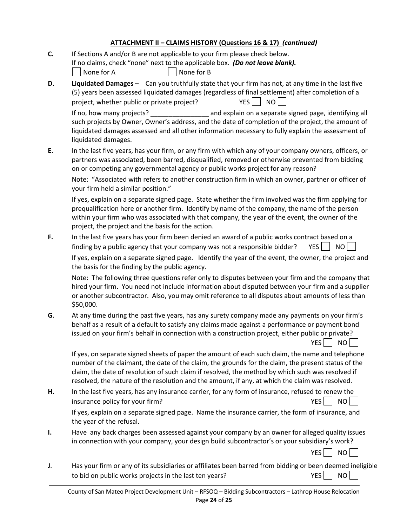# **ATTACHMENT II – CLAIMS HISTORY (Questions 16 & 17)** *(continued)*

| C. | If Sections A and/or B are not applicable to your firm please check below.<br>If no claims, check "none" next to the applicable box. (Do not leave blank).<br>None for B<br>None for A                                                                                                                                                                                                                          |
|----|-----------------------------------------------------------------------------------------------------------------------------------------------------------------------------------------------------------------------------------------------------------------------------------------------------------------------------------------------------------------------------------------------------------------|
| D. | Liquidated Damages - Can you truthfully state that your firm has not, at any time in the last five<br>(5) years been assessed liquidated damages (regardless of final settlement) after completion of a<br><b>YES</b><br>NO<br>project, whether public or private project?                                                                                                                                      |
|    | If no, how many projects?<br>and explain on a separate signed page, identifying all<br>such projects by Owner, Owner's address, and the date of completion of the project, the amount of<br>liquidated damages assessed and all other information necessary to fully explain the assessment of<br>liquidated damages.                                                                                           |
| Ε. | In the last five years, has your firm, or any firm with which any of your company owners, officers, or<br>partners was associated, been barred, disqualified, removed or otherwise prevented from bidding<br>on or competing any governmental agency or public works project for any reason?                                                                                                                    |
|    | Note: "Associated with refers to another construction firm in which an owner, partner or officer of<br>your firm held a similar position."                                                                                                                                                                                                                                                                      |
|    | If yes, explain on a separate signed page. State whether the firm involved was the firm applying for<br>prequalification here or another firm. Identify by name of the company, the name of the person<br>within your firm who was associated with that company, the year of the event, the owner of the<br>project, the project and the basis for the action.                                                  |
| F. | In the last five years has your firm been denied an award of a public works contract based on a<br>finding by a public agency that your company was not a responsible bidder?<br>YES     NO                                                                                                                                                                                                                     |
|    | If yes, explain on a separate signed page. Identify the year of the event, the owner, the project and<br>the basis for the finding by the public agency.                                                                                                                                                                                                                                                        |
|    | Note: The following three questions refer only to disputes between your firm and the company that<br>hired your firm. You need not include information about disputed between your firm and a supplier<br>or another subcontractor. Also, you may omit reference to all disputes about amounts of less than<br>\$50,000.                                                                                        |
| G. | At any time during the past five years, has any surety company made any payments on your firm's<br>behalf as a result of a default to satisfy any claims made against a performance or payment bond<br>issued on your firm's behalf in connection with a construction project, either public or private?<br>YES<br>NO <sub>1</sub>                                                                              |
|    | If yes, on separate signed sheets of paper the amount of each such claim, the name and telephone<br>number of the claimant, the date of the claim, the grounds for the claim, the present status of the<br>claim, the date of resolution of such claim if resolved, the method by which such was resolved if<br>resolved, the nature of the resolution and the amount, if any, at which the claim was resolved. |
| н. | In the last five years, has any insurance carrier, for any form of insurance, refused to renew the<br>YES<br>NO <sub>1</sub><br>insurance policy for your firm?                                                                                                                                                                                                                                                 |
|    | If yes, explain on a separate signed page. Name the insurance carrier, the form of insurance, and<br>the year of the refusal.                                                                                                                                                                                                                                                                                   |
| ı. | Have any back charges been assessed against your company by an owner for alleged quality issues<br>in connection with your company, your design build subcontractor's or your subsidiary's work?                                                                                                                                                                                                                |
|    | YES    <br>NO                                                                                                                                                                                                                                                                                                                                                                                                   |
| J. | Has your firm or any of its subsidiaries or affiliates been barred from bidding or been deemed ineligible<br>to bid on public works projects in the last ten years?<br>YES<br>NO <sub>1</sub>                                                                                                                                                                                                                   |